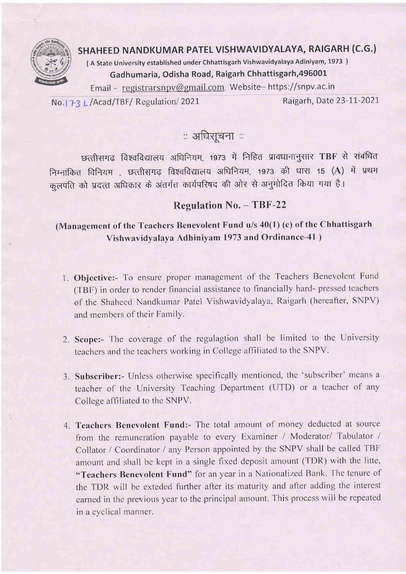

## SHAHEED NANDKUMAR PATEL VISHWAVIDYALAYA, RAIGARH (C.G.)

( A State University established under Chhattisgarh Vishwavidyalaya Adiniyam, 1973 ) Gadhumaria, Odisha Road, Raigarh Chhattisgarh,49600L

Email - registrarsnpv@gmail.com, Website-https://snpv.ac.in

No. 173 L/Acad/TBF/ Regulation/ 2021 Raigarh, Date 23-11-2021

## ः अधिसूचना ः

छत्तीसगढ़ विश्वविद्यालय अधिनियम, 1973 में निहित प्रावधानानुसार TBF से संबंधित निम्नांकित विनियम , छत्तीसगढ़ विश्वविद्यालय अधिनियम, 1973 की धारा 15 (A) में प्रथम कुलपति को प्रदत्त अधिकार के अंतर्गत कार्यपरिषद की ओर से अनुमोदित किया गया है।

## Regulation No. - TBF-22

## (Management of the Teachers Benevolent Fund u/s  $40(1)$  (c) of the Chhattisgarh Vishwavidyalaya Adhiniyam 1973 and Ordinance-41 )

- 1. Objective:- To ensure proper management of the Teachers Benevolent Fund (TBF) in order to render financial assistance to financially hard- pressed teachers of the Shahecd Nandkumar Patel Vishwavidyalaya, Raigarh (hereafter, SNPV) and members of their Family.
- 2. Scope:- The coverage of the regulagtion shall be limited to the University teachers and the teachers working in College affiliatcd to thc SNPV.
- 3. Subscriber:- Unless otherwise specifically mentioned, the 'subscriber' means a teacher of the University Teaching Department (UTD) or a teacher of any Collese affiliated to the SNPV.
- 4. Teachers Benevolent Fund:- The total amount of money deducted at source from the remuneration payable to every Examiner / Moderator/ Tabulator / Collator / Coordinator / any Person appointed by the SNPV shall be called TBF amount and shall be kept in a single fixed deposit amount (TDR) with the litte, "Teachers Benevolent Fund" for an year in a Nationalized Bank. The tenure of the TDR will be exteded further after its maturity and after adding the interest earned in the previous yeat to the principal amount. This proccss will be repeated in a cyclical manner.